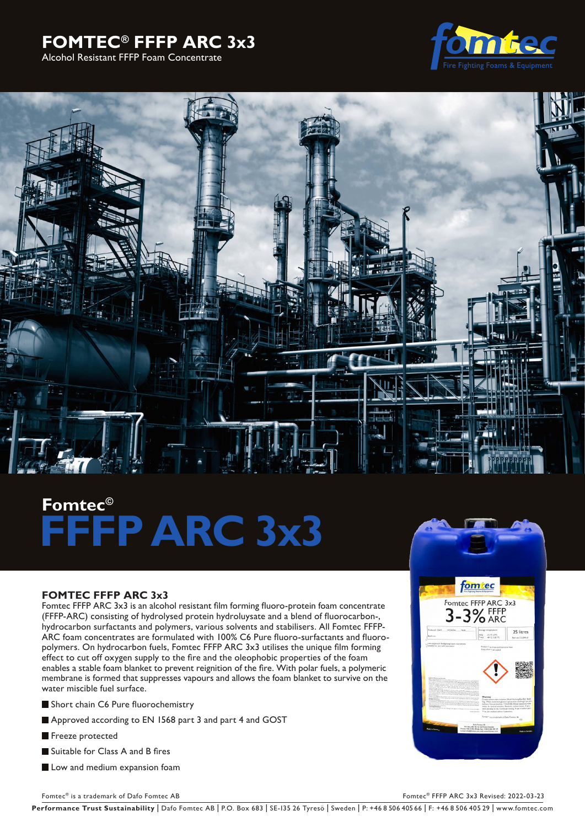# **FOMTEC® FFFP ARC 3x3**

Alcohol Resistant FFFP Foam Concentrate





# **Fomtec© FFFP ARC 3x3**

# **FOMTEC FFFP ARC 3x3**

Fomtec FFFP ARC 3x3 is an alcohol resistant film forming fluoro-protein foam concentrate (FFFP-ARC) consisting of hydrolysed protein hydroluysate and a blend of fluorocarbon-, hydrocarbon surfactants and polymers, various solvents and stabilisers. All Fomtec FFFP-ARC foam concentrates are formulated with 100% C6 Pure fluoro-surfactants and fluoropolymers. On hydrocarbon fuels, Fomtec FFFP ARC 3x3 utilises the unique film forming effect to cut off oxygen supply to the fire and the oleophobic properties of the foam enables a stable foam blanket to prevent reignition of the fire. With polar fuels, a polymeric membrane is formed that suppresses vapours and allows the foam blanket to survive on the water miscible fuel surface.

Short chain C6 Pure fluorochemistry

- Approved according to EN 1568 part 3 and part 4 and GOST
- Freeze protected
- Suitable for Class A and B fires
- **Low and medium expansion foam**



Fomtec® is a trademark of Dafo Fomtec AB Formula and the set of Dafo Formula and the Second Associates of Dafo Formula and the Second Associates of Dafo Formula and the Second Associates of Dafo Books and the Second Associ

Performance Trust Sustainability | Dafo Fomtec AB | P.O. Box 683 | SE-135 26 Tyresö | Sweden | P: +46 8 506 405 66 | F: +46 8 506 405 29 | www.fomtec.com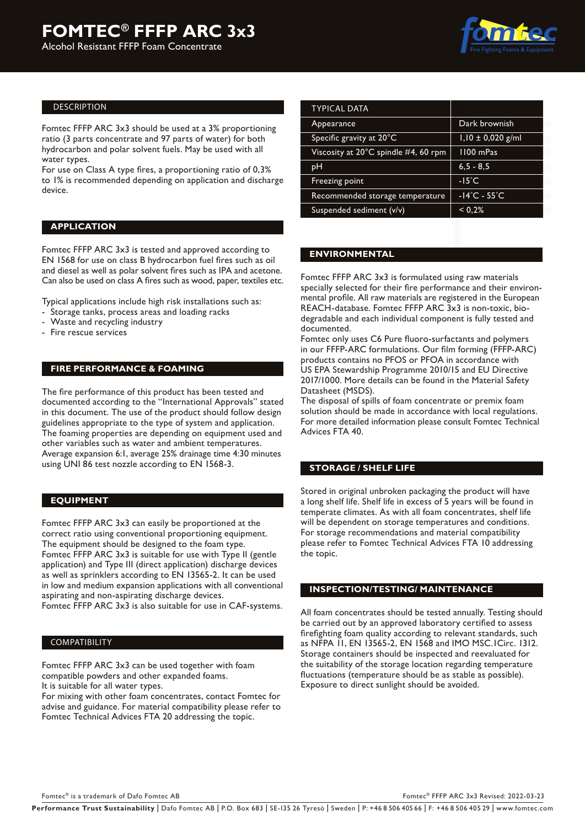#### DESCRIPTION

Fomtec FFFP ARC 3x3 should be used at a 3% proportioning ratio (3 parts concentrate and 97 parts of water) for both hydrocarbon and polar solvent fuels. May be used with all water types.

For use on Class A type fires, a proportioning ratio of 0,3% to 1% is recommended depending on application and discharge device.

#### **APPLICATION**

Fomtec FFFP ARC 3x3 is tested and approved according to EN 1568 for use on class B hydrocarbon fuel fires such as oil and diesel as well as polar solvent fires such as IPA and acetone. Can also be used on class A fires such as wood, paper, textiles etc.

Typical applications include high risk installations such as:

- Storage tanks, process areas and loading racks
- Waste and recycling industry
- Fire rescue services

# **FIRE PERFORMANCE & FOAMING**

The fire performance of this product has been tested and documented according to the "International Approvals" stated in this document. The use of the product should follow design guidelines appropriate to the type of system and application. The foaming properties are depending on equipment used and other variables such as water and ambient temperatures. Average expansion 6:1, average 25% drainage time 4:30 minutes using UNI 86 test nozzle according to EN 1568-3.

# **EQUIPMENT**

Fomtec FFFP ARC 3x3 can easily be proportioned at the correct ratio using conventional proportioning equipment. The equipment should be designed to the foam type. Fomtec FFFP ARC 3x3 is suitable for use with Type II (gentle application) and Type III (direct application) discharge devices as well as sprinklers according to EN 13565-2. It can be used in low and medium expansion applications with all conventional aspirating and non-aspirating discharge devices.

Fomtec FFFP ARC 3x3 is also suitable for use in CAF-systems.

#### **COMPATIBILITY**

Fomtec FFFP ARC 3x3 can be used together with foam compatible powders and other expanded foams.

It is suitable for all water types.

For mixing with other foam concentrates, contact Fomtec for advise and guidance. For material compatibility please refer to Fomtec Technical Advices FTA 20 addressing the topic.

| <b>TYPICAL DATA</b>                  |                                   |  |
|--------------------------------------|-----------------------------------|--|
| Appearance                           | Dark brownish                     |  |
| Specific gravity at 20°C             | $1,10 \pm 0,020$ g/ml             |  |
| Viscosity at 20°C spindle #4, 60 rpm | 1100 mPas                         |  |
| pН                                   | $6, 5 - 8, 5$                     |  |
| Freezing point                       | $-15^{\circ}$ C                   |  |
| Recommended storage temperature      | $-14^{\circ}$ C - 55 $^{\circ}$ C |  |
| Suspended sediment (v/v)             | < 0.2%                            |  |

# **ENVIRONMENTAL**

Fomtec FFFP ARC 3x3 is formulated using raw materials specially selected for their fire performance and their environmental profile. All raw materials are registered in the European REACH-database. Fomtec FFFP ARC 3x3 is non-toxic, biodegradable and each individual component is fully tested and documented.

Fomtec only uses C6 Pure fluoro-surfactants and polymers in our FFFP-ARC formulations. Our film forming (FFFP-ARC) products contains no PFOS or PFOA in accordance with US EPA Stewardship Programme 2010/15 and EU Directive 2017/1000. More details can be found in the Material Safety Datasheet (MSDS).

The disposal of spills of foam concentrate or premix foam solution should be made in accordance with local regulations. For more detailed information please consult Fomtec Technical Advices FTA 40.

# **STORAGE / SHELF LIFE**

Stored in original unbroken packaging the product will have a long shelf life. Shelf life in excess of 5 years will be found in temperate climates. As with all foam concentrates, shelf life will be dependent on storage temperatures and conditions. For storage recommendations and material compatibility please refer to Fomtec Technical Advices FTA 10 addressing the topic.

# **INSPECTION/TESTING/ MAINTENANCE**

All foam concentrates should be tested annually. Testing should be carried out by an approved laboratory certified to assess firefighting foam quality according to relevant standards, such as NFPA 11, EN 13565-2, EN 1568 and IMO MSC.1Circ. 1312. Storage containers should be inspected and reevaluated for the suitability of the storage location regarding temperature fluctuations (temperature should be as stable as possible). Exposure to direct sunlight should be avoided.

Fomtec® is a trademark of Dafo Fomtec AB For the CO2 of the CO2 of the CO2 of the CO2 of the CO2 of the CO2 of the CO2 of the CO2 of the CO2 of the CO2 of the CO2 of the CO2 of the CO2 of the CO2 of the CO2 of the CO2 of t

Performance Trust Sustainability | Dafo Fomtec AB | P.O. Box 683 | SE-135 26 Tyresö | Sweden | P: +46 8 506 405 66 | F: +46 8 506 405 29 | www.fomtec.com